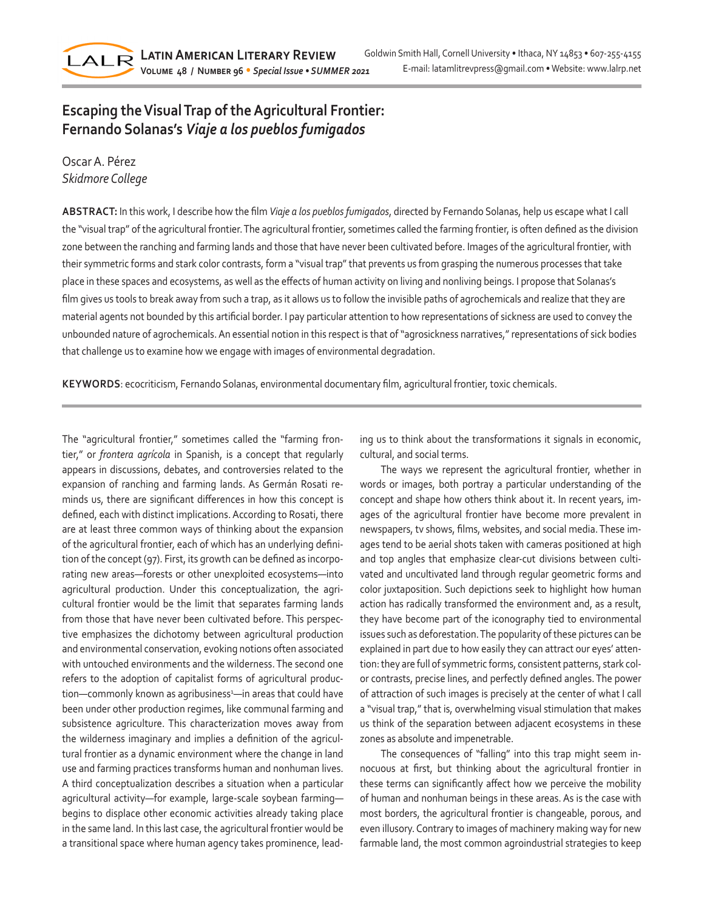

# **Escaping the Visual Trap of the Agricultural Frontier: Fernando Solanas's** *Viaje a los pueblos fumigados*

# Oscar A. Pérez *Skidmore College*

**ABSTRACT:** In this work, I describe how the film *Viaje a los pueblos fumigados*, directed by Fernando Solanas, help us escape what I call the "visual trap" of the agricultural frontier. The agricultural frontier, sometimes called the farming frontier, is often defined as the division zone between the ranching and farming lands and those that have never been cultivated before. Images of the agricultural frontier, with their symmetric forms and stark color contrasts, form a "visual trap" that prevents us from grasping the numerous processes that take place in these spaces and ecosystems, as well as the effects of human activity on living and nonliving beings. I propose that Solanas's film gives us tools to break away from such a trap, as it allows us to follow the invisible paths of agrochemicals and realize that they are material agents not bounded by this artificial border. I pay particular attention to how representations of sickness are used to convey the unbounded nature of agrochemicals. An essential notion in this respect is that of "agrosickness narratives," representations of sick bodies that challenge us to examine how we engage with images of environmental degradation.

**KEYWORDS**: ecocriticism, Fernando Solanas, environmental documentary film, agricultural frontier, toxic chemicals.

The "agricultural frontier," sometimes called the "farming frontier," or *frontera agrícola* in Spanish, is a concept that regularly appears in discussions, debates, and controversies related to the expansion of ranching and farming lands. As Germán Rosati reminds us, there are significant differences in how this concept is defined, each with distinct implications. According to Rosati, there are at least three common ways of thinking about the expansion of the agricultural frontier, each of which has an underlying definition of the concept (97). First, its growth can be defined as incorporating new areas—forests or other unexploited ecosystems—into agricultural production. Under this conceptualization, the agricultural frontier would be the limit that separates farming lands from those that have never been cultivated before. This perspective emphasizes the dichotomy between agricultural production and environmental conservation, evoking notions often associated with untouched environments and the wilderness. The second one refers to the adoption of capitalist forms of agricultural production—commonly known as agribusiness<sup>1</sup>—in areas that could have been under other production regimes, like communal farming and subsistence agriculture. This characterization moves away from the wilderness imaginary and implies a definition of the agricultural frontier as a dynamic environment where the change in land use and farming practices transforms human and nonhuman lives. A third conceptualization describes a situation when a particular agricultural activity—for example, large-scale soybean farming begins to displace other economic activities already taking place in the same land. In this last case, the agricultural frontier would be a transitional space where human agency takes prominence, leading us to think about the transformations it signals in economic, cultural, and social terms.

The ways we represent the agricultural frontier, whether in words or images, both portray a particular understanding of the concept and shape how others think about it. In recent years, images of the agricultural frontier have become more prevalent in newspapers, tv shows, films, websites, and social media. These images tend to be aerial shots taken with cameras positioned at high and top angles that emphasize clear-cut divisions between cultivated and uncultivated land through regular geometric forms and color juxtaposition. Such depictions seek to highlight how human action has radically transformed the environment and, as a result, they have become part of the iconography tied to environmental issues such as deforestation. The popularity of these pictures can be explained in part due to how easily they can attract our eyes' attention: they are full of symmetric forms, consistent patterns, stark color contrasts, precise lines, and perfectly defined angles. The power of attraction of such images is precisely at the center of what I call a "visual trap," that is, overwhelming visual stimulation that makes us think of the separation between adjacent ecosystems in these zones as absolute and impenetrable.

The consequences of "falling" into this trap might seem innocuous at first, but thinking about the agricultural frontier in these terms can significantly affect how we perceive the mobility of human and nonhuman beings in these areas. As is the case with most borders, the agricultural frontier is changeable, porous, and even illusory. Contrary to images of machinery making way for new farmable land, the most common agroindustrial strategies to keep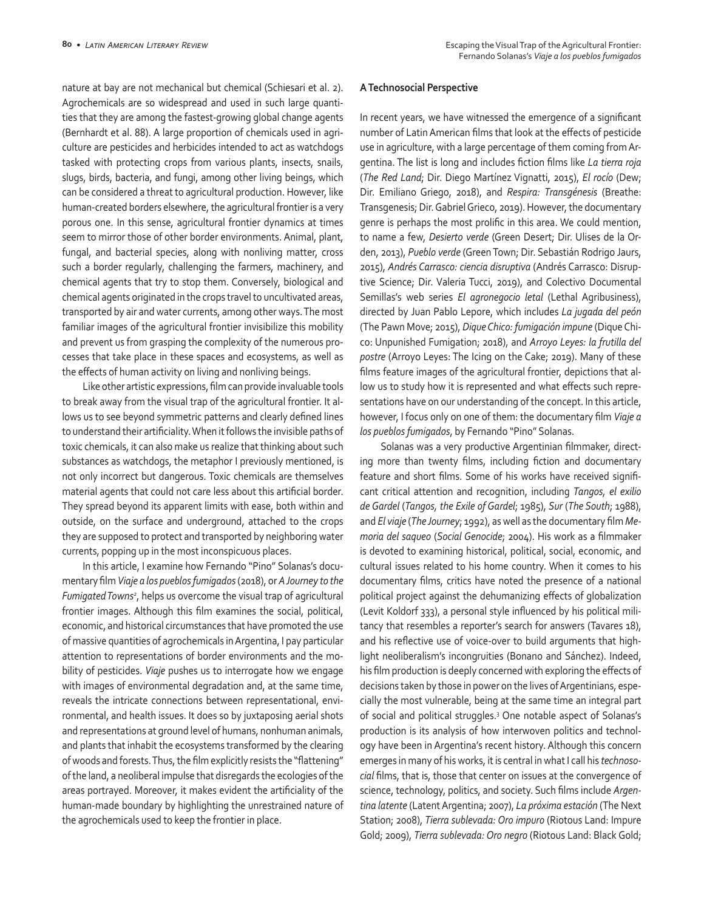nature at bay are not mechanical but chemical (Schiesari et al. 2). Agrochemicals are so widespread and used in such large quantities that they are among the fastest-growing global change agents (Bernhardt et al. 88). A large proportion of chemicals used in agriculture are pesticides and herbicides intended to act as watchdogs tasked with protecting crops from various plants, insects, snails, slugs, birds, bacteria, and fungi, among other living beings, which can be considered a threat to agricultural production. However, like human-created borders elsewhere, the agricultural frontier is a very porous one. In this sense, agricultural frontier dynamics at times seem to mirror those of other border environments. Animal, plant, fungal, and bacterial species, along with nonliving matter, cross such a border regularly, challenging the farmers, machinery, and chemical agents that try to stop them. Conversely, biological and chemical agents originated in the crops travel to uncultivated areas, transported by air and water currents, among other ways. The most familiar images of the agricultural frontier invisibilize this mobility and prevent us from grasping the complexity of the numerous processes that take place in these spaces and ecosystems, as well as the effects of human activity on living and nonliving beings.

Like other artistic expressions, film can provide invaluable tools to break away from the visual trap of the agricultural frontier. It allows us to see beyond symmetric patterns and clearly defined lines to understand their artificiality. When it follows the invisible paths of toxic chemicals, it can also make us realize that thinking about such substances as watchdogs, the metaphor I previously mentioned, is not only incorrect but dangerous. Toxic chemicals are themselves material agents that could not care less about this artificial border. They spread beyond its apparent limits with ease, both within and outside, on the surface and underground, attached to the crops they are supposed to protect and transported by neighboring water currents, popping up in the most inconspicuous places.

In this article, I examine how Fernando "Pino" Solanas's documentary film *Viaje a los pueblos fumigados* (2018), or *A Journey to the Fumigated Towns2* , helps us overcome the visual trap of agricultural frontier images. Although this film examines the social, political, economic, and historical circumstances that have promoted the use of massive quantities of agrochemicals in Argentina, I pay particular attention to representations of border environments and the mobility of pesticides. *Viaje* pushes us to interrogate how we engage with images of environmental degradation and, at the same time, reveals the intricate connections between representational, environmental, and health issues. It does so by juxtaposing aerial shots and representations at ground level of humans, nonhuman animals, and plants that inhabit the ecosystems transformed by the clearing of woods and forests. Thus, the film explicitly resists the "flattening" of the land, a neoliberal impulse that disregards the ecologies of the areas portrayed. Moreover, it makes evident the artificiality of the human-made boundary by highlighting the unrestrained nature of the agrochemicals used to keep the frontier in place.

#### **A Technosocial Perspective**

In recent years, we have witnessed the emergence of a significant number of Latin American films that look at the effects of pesticide use in agriculture, with a large percentage of them coming from Argentina. The list is long and includes fiction films like *La tierra roja* (*The Red Land*; Dir. Diego Martínez Vignatti, 2015), *El rocío* (Dew; Dir. Emiliano Griego, 2018), and *Respira: Transgénesis* (Breathe: Transgenesis; Dir. Gabriel Grieco, 2019). However, the documentary genre is perhaps the most prolific in this area. We could mention, to name a few, *Desierto verde* (Green Desert; Dir. Ulises de la Orden, 2013), *Pueblo verde* (Green Town; Dir. Sebastián Rodrigo Jaurs, 2015), *Andrés Carrasco: ciencia disruptiva* (Andrés Carrasco: Disruptive Science; Dir. Valeria Tucci, 2019), and Colectivo Documental Semillas's web series *El agronegocio letal* (Lethal Agribusiness), directed by Juan Pablo Lepore, which includes *La jugada del peón* (The Pawn Move; 2015), *Dique Chico: fumigación impune* (Dique Chico: Unpunished Fumigation; 2018), and *Arroyo Leyes: la frutilla del postre* (Arroyo Leyes: The Icing on the Cake; 2019). Many of these films feature images of the agricultural frontier, depictions that allow us to study how it is represented and what effects such representations have on our understanding of the concept. In this article, however, I focus only on one of them: the documentary film *Viaje a los pueblos fumigados*, by Fernando "Pino" Solanas.

Solanas was a very productive Argentinian filmmaker, directing more than twenty films, including fiction and documentary feature and short films. Some of his works have received significant critical attention and recognition, including *Tangos, el exilio de Gardel* (*Tangos, the Exile of Gardel*; 1985), *Sur* (*The South*; 1988), and *El viaje* (*The Journey*; 1992), as well as the documentary film *Memoria del saqueo* (*Social Genocide*; 2004). His work as a filmmaker is devoted to examining historical, political, social, economic, and cultural issues related to his home country. When it comes to his documentary films, critics have noted the presence of a national political project against the dehumanizing effects of globalization (Levit Koldorf 333), a personal style influenced by his political militancy that resembles a reporter's search for answers (Tavares 18), and his reflective use of voice-over to build arguments that highlight neoliberalism's incongruities (Bonano and Sánchez). Indeed, his film production is deeply concerned with exploring the effects of decisions taken by those in power on the lives of Argentinians, especially the most vulnerable, being at the same time an integral part of social and political struggles.3 One notable aspect of Solanas's production is its analysis of how interwoven politics and technology have been in Argentina's recent history. Although this concern emerges in many of his works, it is central in what I call his *technosocial* films, that is, those that center on issues at the convergence of science, technology, politics, and society. Such films include *Argentina latente* (Latent Argentina; 2007), *La próxima estación* (The Next Station; 2008), *Tierra sublevada: Oro impuro* (Riotous Land: Impure Gold; 2009), *Tierra sublevada: Oro negro* (Riotous Land: Black Gold;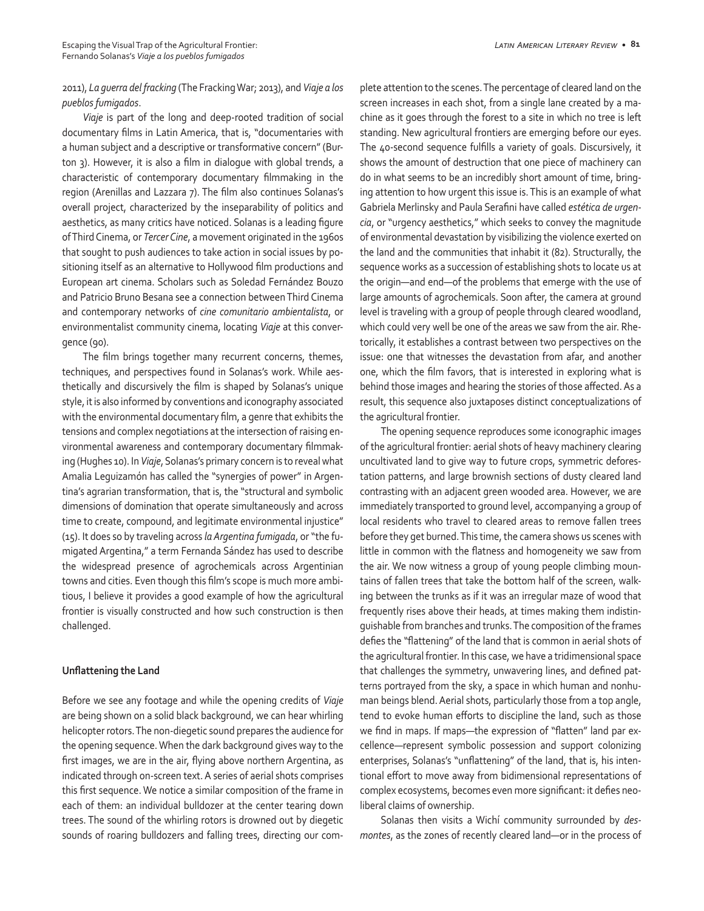## 2011), *La guerra del fracking* (The Fracking War; 2013), and *Viaje a los pueblos fumigados*.

*Viaje* is part of the long and deep-rooted tradition of social documentary films in Latin America, that is, "documentaries with a human subject and a descriptive or transformative concern" (Burton 3). However, it is also a film in dialogue with global trends, a characteristic of contemporary documentary filmmaking in the region (Arenillas and Lazzara 7). The film also continues Solanas's overall project, characterized by the inseparability of politics and aesthetics, as many critics have noticed. Solanas is a leading figure of Third Cinema, or *Tercer Cine*, a movement originated in the 1960s that sought to push audiences to take action in social issues by positioning itself as an alternative to Hollywood film productions and European art cinema. Scholars such as Soledad Fernández Bouzo and Patricio Bruno Besana see a connection between Third Cinema and contemporary networks of *cine comunitario ambientalista*, or environmentalist community cinema, locating *Viaje* at this convergence (90).

The film brings together many recurrent concerns, themes, techniques, and perspectives found in Solanas's work. While aesthetically and discursively the film is shaped by Solanas's unique style, it is also informed by conventions and iconography associated with the environmental documentary film, a genre that exhibits the tensions and complex negotiations at the intersection of raising environmental awareness and contemporary documentary filmmaking (Hughes 10). In *Viaje*, Solanas's primary concern is to reveal what Amalia Leguizamón has called the "synergies of power" in Argentina's agrarian transformation, that is, the "structural and symbolic dimensions of domination that operate simultaneously and across time to create, compound, and legitimate environmental injustice" (15). It does so by traveling across *la Argentina fumigada*, or "the fumigated Argentina," a term Fernanda Sández has used to describe the widespread presence of agrochemicals across Argentinian towns and cities. Even though this film's scope is much more ambitious, I believe it provides a good example of how the agricultural frontier is visually constructed and how such construction is then challenged.

# **Unflattening the Land**

Before we see any footage and while the opening credits of *Viaje* are being shown on a solid black background, we can hear whirling helicopter rotors. The non-diegetic sound prepares the audience for the opening sequence. When the dark background gives way to the first images, we are in the air, flying above northern Argentina, as indicated through on-screen text. A series of aerial shots comprises this first sequence. We notice a similar composition of the frame in each of them: an individual bulldozer at the center tearing down trees. The sound of the whirling rotors is drowned out by diegetic sounds of roaring bulldozers and falling trees, directing our complete attention to the scenes. The percentage of cleared land on the screen increases in each shot, from a single lane created by a machine as it goes through the forest to a site in which no tree is left standing. New agricultural frontiers are emerging before our eyes. The 40-second sequence fulfills a variety of goals. Discursively, it shows the amount of destruction that one piece of machinery can do in what seems to be an incredibly short amount of time, bringing attention to how urgent this issue is. This is an example of what Gabriela Merlinsky and Paula Serafini have called *estética de urgencia*, or "urgency aesthetics," which seeks to convey the magnitude of environmental devastation by visibilizing the violence exerted on the land and the communities that inhabit it (82). Structurally, the sequence works as a succession of establishing shots to locate us at the origin—and end—of the problems that emerge with the use of large amounts of agrochemicals. Soon after, the camera at ground level is traveling with a group of people through cleared woodland, which could very well be one of the areas we saw from the air. Rhetorically, it establishes a contrast between two perspectives on the issue: one that witnesses the devastation from afar, and another one, which the film favors, that is interested in exploring what is behind those images and hearing the stories of those affected. As a result, this sequence also juxtaposes distinct conceptualizations of the agricultural frontier.

The opening sequence reproduces some iconographic images of the agricultural frontier: aerial shots of heavy machinery clearing uncultivated land to give way to future crops, symmetric deforestation patterns, and large brownish sections of dusty cleared land contrasting with an adjacent green wooded area. However, we are immediately transported to ground level, accompanying a group of local residents who travel to cleared areas to remove fallen trees before they get burned. This time, the camera shows us scenes with little in common with the flatness and homogeneity we saw from the air. We now witness a group of young people climbing mountains of fallen trees that take the bottom half of the screen, walking between the trunks as if it was an irregular maze of wood that frequently rises above their heads, at times making them indistinguishable from branches and trunks. The composition of the frames defies the "flattening" of the land that is common in aerial shots of the agricultural frontier. In this case, we have a tridimensional space that challenges the symmetry, unwavering lines, and defined patterns portrayed from the sky, a space in which human and nonhuman beings blend. Aerial shots, particularly those from a top angle, tend to evoke human efforts to discipline the land, such as those we find in maps. If maps—the expression of "flatten" land par excellence—represent symbolic possession and support colonizing enterprises, Solanas's "unflattening" of the land, that is, his intentional effort to move away from bidimensional representations of complex ecosystems, becomes even more significant: it defies neoliberal claims of ownership.

Solanas then visits a Wichí community surrounded by *desmontes*, as the zones of recently cleared land—or in the process of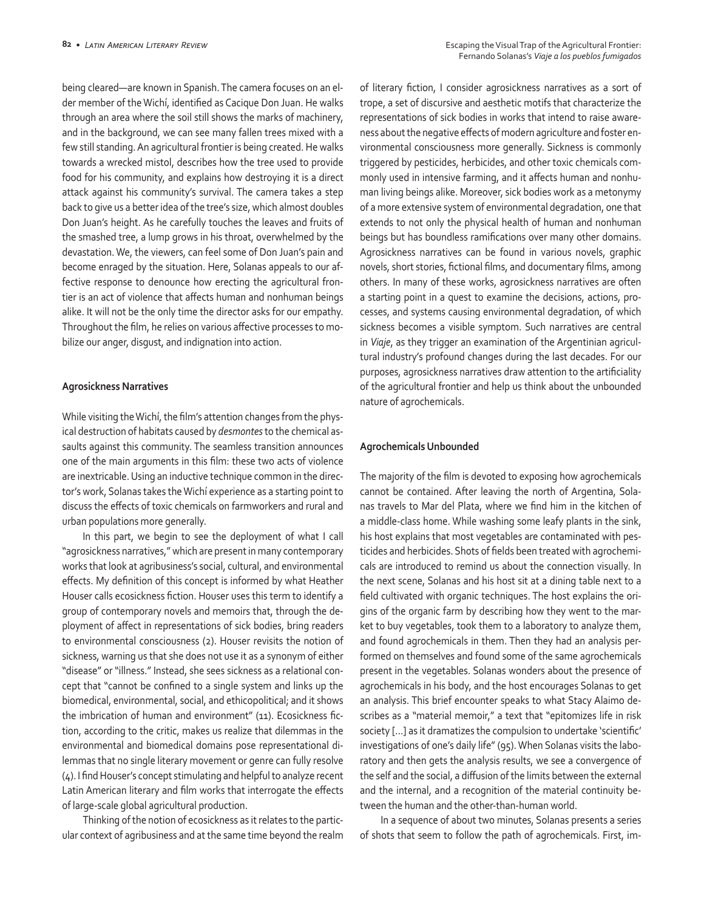being cleared—are known in Spanish. The camera focuses on an elder member of the Wichí, identified as Cacique Don Juan. He walks through an area where the soil still shows the marks of machinery, and in the background, we can see many fallen trees mixed with a few still standing. An agricultural frontier is being created. He walks towards a wrecked mistol, describes how the tree used to provide food for his community, and explains how destroying it is a direct attack against his community's survival. The camera takes a step back to give us a better idea of the tree's size, which almost doubles Don Juan's height. As he carefully touches the leaves and fruits of the smashed tree, a lump grows in his throat, overwhelmed by the devastation. We, the viewers, can feel some of Don Juan's pain and become enraged by the situation. Here, Solanas appeals to our affective response to denounce how erecting the agricultural frontier is an act of violence that affects human and nonhuman beings alike. It will not be the only time the director asks for our empathy. Throughout the film, he relies on various affective processes to mobilize our anger, disgust, and indignation into action.

#### **Agrosickness Narratives**

While visiting the Wichí, the film's attention changes from the physical destruction of habitats caused by *desmontes* to the chemical assaults against this community. The seamless transition announces one of the main arguments in this film: these two acts of violence are inextricable. Using an inductive technique common in the director's work, Solanas takes the Wichí experience as a starting point to discuss the effects of toxic chemicals on farmworkers and rural and urban populations more generally.

In this part, we begin to see the deployment of what I call "agrosickness narratives," which are present in many contemporary works that look at agribusiness's social, cultural, and environmental effects. My definition of this concept is informed by what Heather Houser calls ecosickness fiction. Houser uses this term to identify a group of contemporary novels and memoirs that, through the deployment of affect in representations of sick bodies, bring readers to environmental consciousness (2). Houser revisits the notion of sickness, warning us that she does not use it as a synonym of either "disease" or "illness." Instead, she sees sickness as a relational concept that "cannot be confined to a single system and links up the biomedical, environmental, social, and ethicopolitical; and it shows the imbrication of human and environment" (11). Ecosickness fiction, according to the critic, makes us realize that dilemmas in the environmental and biomedical domains pose representational dilemmas that no single literary movement or genre can fully resolve (4). I find Houser's concept stimulating and helpful to analyze recent Latin American literary and film works that interrogate the effects of large-scale global agricultural production.

Thinking of the notion of ecosickness as it relates to the particular context of agribusiness and at the same time beyond the realm of literary fiction, I consider agrosickness narratives as a sort of trope, a set of discursive and aesthetic motifs that characterize the representations of sick bodies in works that intend to raise awareness about the negative effects of modern agriculture and foster environmental consciousness more generally. Sickness is commonly triggered by pesticides, herbicides, and other toxic chemicals commonly used in intensive farming, and it affects human and nonhuman living beings alike. Moreover, sick bodies work as a metonymy of a more extensive system of environmental degradation, one that extends to not only the physical health of human and nonhuman beings but has boundless ramifications over many other domains. Agrosickness narratives can be found in various novels, graphic novels, short stories, fictional films, and documentary films, among others. In many of these works, agrosickness narratives are often a starting point in a quest to examine the decisions, actions, processes, and systems causing environmental degradation, of which sickness becomes a visible symptom. Such narratives are central in *Viaje*, as they trigger an examination of the Argentinian agricultural industry's profound changes during the last decades. For our purposes, agrosickness narratives draw attention to the artificiality of the agricultural frontier and help us think about the unbounded nature of agrochemicals.

### **Agrochemicals Unbounded**

The majority of the film is devoted to exposing how agrochemicals cannot be contained. After leaving the north of Argentina, Solanas travels to Mar del Plata, where we find him in the kitchen of a middle-class home. While washing some leafy plants in the sink, his host explains that most vegetables are contaminated with pesticides and herbicides. Shots of fields been treated with agrochemicals are introduced to remind us about the connection visually. In the next scene, Solanas and his host sit at a dining table next to a field cultivated with organic techniques. The host explains the origins of the organic farm by describing how they went to the market to buy vegetables, took them to a laboratory to analyze them, and found agrochemicals in them. Then they had an analysis performed on themselves and found some of the same agrochemicals present in the vegetables. Solanas wonders about the presence of agrochemicals in his body, and the host encourages Solanas to get an analysis. This brief encounter speaks to what Stacy Alaimo describes as a "material memoir," a text that "epitomizes life in risk society […] as it dramatizes the compulsion to undertake 'scientific' investigations of one's daily life" (95). When Solanas visits the laboratory and then gets the analysis results, we see a convergence of the self and the social, a diffusion of the limits between the external and the internal, and a recognition of the material continuity between the human and the other-than-human world.

In a sequence of about two minutes, Solanas presents a series of shots that seem to follow the path of agrochemicals. First, im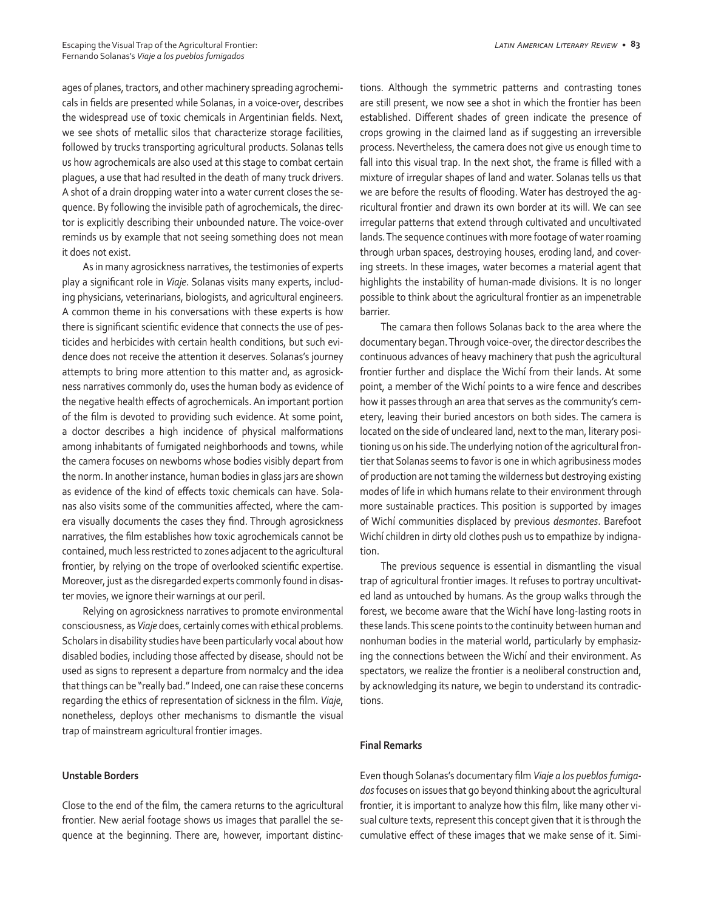ages of planes, tractors, and other machinery spreading agrochemicals in fields are presented while Solanas, in a voice-over, describes the widespread use of toxic chemicals in Argentinian fields. Next, we see shots of metallic silos that characterize storage facilities, followed by trucks transporting agricultural products. Solanas tells us how agrochemicals are also used at this stage to combat certain plagues, a use that had resulted in the death of many truck drivers. A shot of a drain dropping water into a water current closes the sequence. By following the invisible path of agrochemicals, the director is explicitly describing their unbounded nature. The voice-over reminds us by example that not seeing something does not mean it does not exist.

As in many agrosickness narratives, the testimonies of experts play a significant role in *Viaje*. Solanas visits many experts, including physicians, veterinarians, biologists, and agricultural engineers. A common theme in his conversations with these experts is how there is significant scientific evidence that connects the use of pesticides and herbicides with certain health conditions, but such evidence does not receive the attention it deserves. Solanas's journey attempts to bring more attention to this matter and, as agrosickness narratives commonly do, uses the human body as evidence of the negative health effects of agrochemicals. An important portion of the film is devoted to providing such evidence. At some point, a doctor describes a high incidence of physical malformations among inhabitants of fumigated neighborhoods and towns, while the camera focuses on newborns whose bodies visibly depart from the norm. In another instance, human bodies in glass jars are shown as evidence of the kind of effects toxic chemicals can have. Solanas also visits some of the communities affected, where the camera visually documents the cases they find. Through agrosickness narratives, the film establishes how toxic agrochemicals cannot be contained, much less restricted to zones adjacent to the agricultural frontier, by relying on the trope of overlooked scientific expertise. Moreover, just as the disregarded experts commonly found in disaster movies, we ignore their warnings at our peril.

Relying on agrosickness narratives to promote environmental consciousness, as *Viaje* does, certainly comes with ethical problems. Scholars in disability studies have been particularly vocal about how disabled bodies, including those affected by disease, should not be used as signs to represent a departure from normalcy and the idea that things can be "really bad." Indeed, one can raise these concerns regarding the ethics of representation of sickness in the film. *Viaje*, nonetheless, deploys other mechanisms to dismantle the visual trap of mainstream agricultural frontier images.

#### **Unstable Borders**

Close to the end of the film, the camera returns to the agricultural frontier. New aerial footage shows us images that parallel the sequence at the beginning. There are, however, important distinctions. Although the symmetric patterns and contrasting tones are still present, we now see a shot in which the frontier has been established. Different shades of green indicate the presence of crops growing in the claimed land as if suggesting an irreversible process. Nevertheless, the camera does not give us enough time to fall into this visual trap. In the next shot, the frame is filled with a mixture of irregular shapes of land and water. Solanas tells us that we are before the results of flooding. Water has destroyed the agricultural frontier and drawn its own border at its will. We can see irregular patterns that extend through cultivated and uncultivated lands. The sequence continues with more footage of water roaming through urban spaces, destroying houses, eroding land, and covering streets. In these images, water becomes a material agent that highlights the instability of human-made divisions. It is no longer possible to think about the agricultural frontier as an impenetrable barrier.

The camara then follows Solanas back to the area where the documentary began. Through voice-over, the director describes the continuous advances of heavy machinery that push the agricultural frontier further and displace the Wichí from their lands. At some point, a member of the Wichí points to a wire fence and describes how it passes through an area that serves as the community's cemetery, leaving their buried ancestors on both sides. The camera is located on the side of uncleared land, next to the man, literary positioning us on his side. The underlying notion of the agricultural frontier that Solanas seems to favor is one in which agribusiness modes of production are not taming the wilderness but destroying existing modes of life in which humans relate to their environment through more sustainable practices. This position is supported by images of Wichí communities displaced by previous *desmontes*. Barefoot Wichí children in dirty old clothes push us to empathize by indignation.

The previous sequence is essential in dismantling the visual trap of agricultural frontier images. It refuses to portray uncultivated land as untouched by humans. As the group walks through the forest, we become aware that the Wichí have long-lasting roots in these lands. This scene points to the continuity between human and nonhuman bodies in the material world, particularly by emphasizing the connections between the Wichí and their environment. As spectators, we realize the frontier is a neoliberal construction and, by acknowledging its nature, we begin to understand its contradictions.

#### **Final Remarks**

Even though Solanas's documentary film *Viaje a los pueblos fumigados* focuses on issues that go beyond thinking about the agricultural frontier, it is important to analyze how this film, like many other visual culture texts, represent this concept given that it is through the cumulative effect of these images that we make sense of it. Simi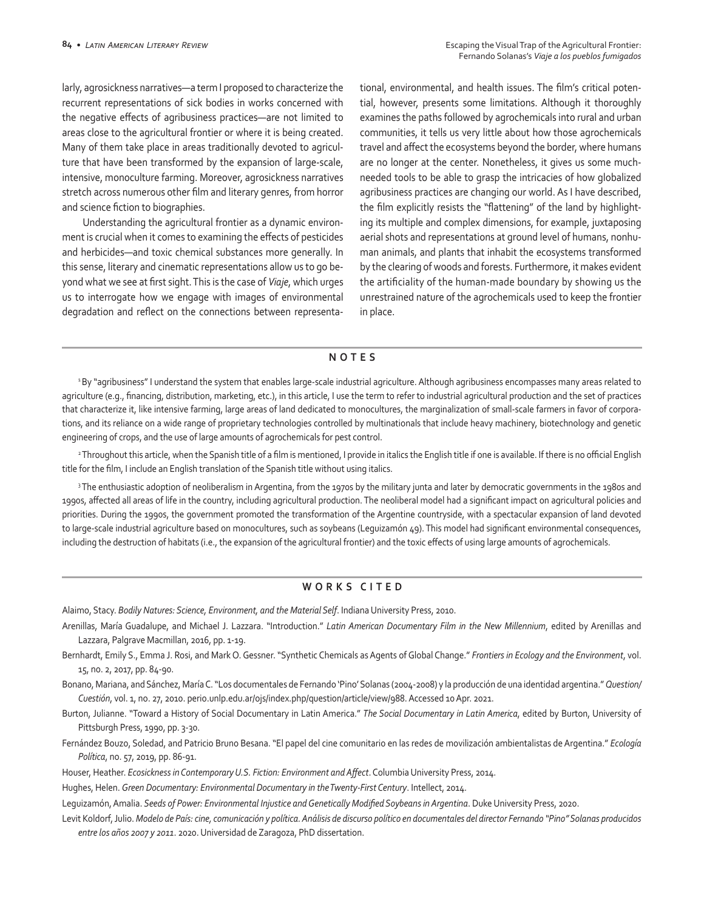larly, agrosickness narratives—a term I proposed to characterize the recurrent representations of sick bodies in works concerned with the negative effects of agribusiness practices—are not limited to areas close to the agricultural frontier or where it is being created. Many of them take place in areas traditionally devoted to agriculture that have been transformed by the expansion of large-scale, intensive, monoculture farming. Moreover, agrosickness narratives stretch across numerous other film and literary genres, from horror and science fiction to biographies.

Understanding the agricultural frontier as a dynamic environment is crucial when it comes to examining the effects of pesticides and herbicides—and toxic chemical substances more generally. In this sense, literary and cinematic representations allow us to go beyond what we see at first sight. This is the case of *Viaje*, which urges us to interrogate how we engage with images of environmental degradation and reflect on the connections between representational, environmental, and health issues. The film's critical potential, however, presents some limitations. Although it thoroughly examines the paths followed by agrochemicals into rural and urban communities, it tells us very little about how those agrochemicals travel and affect the ecosystems beyond the border, where humans are no longer at the center. Nonetheless, it gives us some muchneeded tools to be able to grasp the intricacies of how globalized agribusiness practices are changing our world. As I have described, the film explicitly resists the "flattening" of the land by highlighting its multiple and complex dimensions, for example, juxtaposing aerial shots and representations at ground level of humans, nonhuman animals, and plants that inhabit the ecosystems transformed by the clearing of woods and forests. Furthermore, it makes evident the artificiality of the human-made boundary by showing us the unrestrained nature of the agrochemicals used to keep the frontier in place.

### **NOTES**

1 By "agribusiness" I understand the system that enables large-scale industrial agriculture. Although agribusiness encompasses many areas related to agriculture (e.g., financing, distribution, marketing, etc.), in this article, I use the term to refer to industrial agricultural production and the set of practices that characterize it, like intensive farming, large areas of land dedicated to monocultures, the marginalization of small-scale farmers in favor of corporations, and its reliance on a wide range of proprietary technologies controlled by multinationals that include heavy machinery, biotechnology and genetic engineering of crops, and the use of large amounts of agrochemicals for pest control.

<sup>2</sup>Throughout this article, when the Spanish title of a film is mentioned, I provide in italics the English title if one is available. If there is no official English title for the film, I include an English translation of the Spanish title without using italics.

<sup>3</sup>The enthusiastic adoption of neoliberalism in Argentina, from the 1970s by the military junta and later by democratic governments in the 1980s and 1990s, affected all areas of life in the country, including agricultural production. The neoliberal model had a significant impact on agricultural policies and priorities. During the 1990s, the government promoted the transformation of the Argentine countryside, with a spectacular expansion of land devoted to large-scale industrial agriculture based on monocultures, such as soybeans (Leguizamón 49). This model had significant environmental consequences, including the destruction of habitats (i.e., the expansion of the agricultural frontier) and the toxic effects of using large amounts of agrochemicals.

# **WORKS CITED**

Alaimo, Stacy. *Bodily Natures: Science, Environment, and the Material Self*. Indiana University Press, 2010.

- Arenillas, María Guadalupe, and Michael J. Lazzara. "Introduction." *Latin American Documentary Film in the New Millennium*, edited by Arenillas and Lazzara, Palgrave Macmillan, 2016, pp. 1-19.
- Bernhardt, Emily S., Emma J. Rosi, and Mark O. Gessner. "Synthetic Chemicals as Agents of Global Change." *Frontiers in Ecology and the Environment*, vol. 15, no. 2, 2017, pp. 84-90.

Bonano, Mariana, and Sánchez, María C. "Los documentales de Fernando 'Pino' Solanas (2004-2008) y la producción de una identidad argentina." *Question/ Cuestión*, vol. 1, no. 27, 2010. perio.unlp.edu.ar/ojs/index.php/question/article/view/988. Accessed 10 Apr. 2021.

Burton, Julianne. "Toward a History of Social Documentary in Latin America." *The Social Documentary in Latin America*, edited by Burton, University of Pittsburgh Press, 1990, pp. 3-30.

- Fernández Bouzo, Soledad, and Patricio Bruno Besana. "El papel del cine comunitario en las redes de movilización ambientalistas de Argentina." *Ecología Política*, no. 57, 2019, pp. 86-91.
- Houser, Heather. *Ecosickness in Contemporary U.S. Fiction: Environment and Affect*. Columbia University Press, 2014.

Hughes, Helen. *Green Documentary: Environmental Documentary in the Twenty-First Century*. Intellect, 2014.

Leguizamón, Amalia. *Seeds of Power: Environmental Injustice and Genetically Modified Soybeans in Argentina*. Duke University Press, 2020.

Levit Koldorf, Julio. *Modelo de País: cine, comunicación y política. Análisis de discurso político en documentales del director Fernando "Pino" Solanas producidos entre los años 2007 y 2011*. 2020. Universidad de Zaragoza, PhD dissertation.